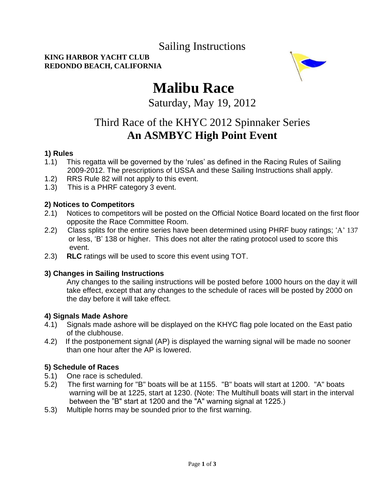# Sailing Instructions

# **KING HARBOR YACHT CLUB REDONDO BEACH, CALIFORNIA**



# **Malibu Race**

Saturday, May 19, 2012

# Third Race of the KHYC 2012 Spinnaker Series **An ASMBYC High Point Event**

# **1) Rules**

- 1.1) This regatta will be governed by the "rules" as defined in the Racing Rules of Sailing 2009-2012. The prescriptions of USSA and these Sailing Instructions shall apply.
- 1.2) RRS Rule 82 will not apply to this event.
- 1.3) This is a PHRF category 3 event.

# **2) Notices to Competitors**

- 2.1) Notices to competitors will be posted on the Official Notice Board located on the first floor opposite the Race Committee Room.
- 2.2) Class splits for the entire series have been determined using PHRF buoy ratings; 'A' 137 or less, "B" 138 or higher. This does not alter the rating protocol used to score this event.
- 2.3) **RLC** ratings will be used to score this event using TOT.

# **3) Changes in Sailing Instructions**

Any changes to the sailing instructions will be posted before 1000 hours on the day it will take effect, except that any changes to the schedule of races will be posted by 2000 on the day before it will take effect.

#### **4) Signals Made Ashore**

- 4.1) Signals made ashore will be displayed on the KHYC flag pole located on the East patio of the clubhouse.
- 4.2) If the postponement signal (AP) is displayed the warning signal will be made no sooner than one hour after the AP is lowered.

# **5) Schedule of Races**

- 5.1) One race is scheduled.
- 5.2) The first warning for "B" boats will be at 1155. "B" boats will start at 1200. "A" boats warning will be at 1225, start at 1230. (Note: The Multihull boats will start in the interval between the "B" start at 1200 and the "A" warning signal at 1225.)
- 5.3) Multiple horns may be sounded prior to the first warning.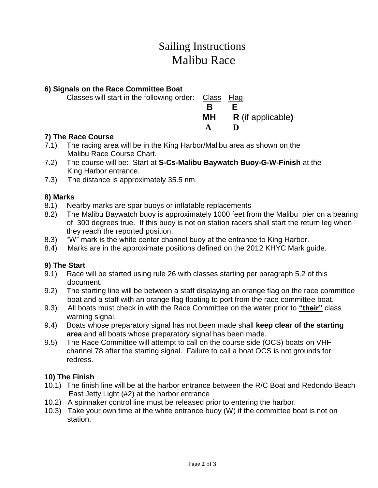# Sailing Instructions Malibu Race

# **6) Signals on the Race Committee Boat**

| Classes will start in the following order:  Class Flag |                             |
|--------------------------------------------------------|-----------------------------|
|                                                        |                             |
|                                                        | <b>MH</b> R (if applicable) |
|                                                        | Ð                           |
|                                                        |                             |

# **7) The Race Course**

- 7.1) The racing area will be in the King Harbor/Malibu area as shown on the Malibu Race Course Chart.
- 7.2) The course will be: Start at **S-Cs-Malibu Baywatch Buoy-G-W-Finish** at the King Harbor entrance.
- 7.3) The distance is approximately 35.5 nm.

# **8) Marks**

- 8.1) Nearby marks are spar buoys or inflatable replacements
- 8.2) The Malibu Baywatch buoy is approximately 1000 feet from the Malibu pier on a bearing of 300 degrees true. If this buoy is not on station racers shall start the return leg when they reach the reported position.
- 8.3) "W" mark is the white center channel buoy at the entrance to King Harbor.
- 8.4) Marks are in the approximate positions defined on the 2012 KHYC Mark guide.

# **9) The Start**

- 9.1) Race will be started using rule 26 with classes starting per paragraph 5.2 of this document.
- 9.2) The starting line will be between a staff displaying an orange flag on the race committee boat and a staff with an orange flag floating to port from the race committee boat.
- 9.3) All boats must check in with the Race Committee on the water prior to **"their"** class warning signal.
- 9.4) Boats whose preparatory signal has not been made shall **keep clear of the starting area** and all boats whose preparatory signal has been made.
- 9.5) The Race Committee will attempt to call on the course side (OCS) boats on VHF channel 78 after the starting signal. Failure to call a boat OCS is not grounds for redress.

# **10) The Finish**

- 10.1) The finish line will be at the harbor entrance between the R/C Boat and Redondo Beach East Jetty Light (#2) at the harbor entrance
- 10.2) A spinnaker control line must be released prior to entering the harbor.
- 10.3) Take your own time at the white entrance buoy (W) if the committee boat is not on station.